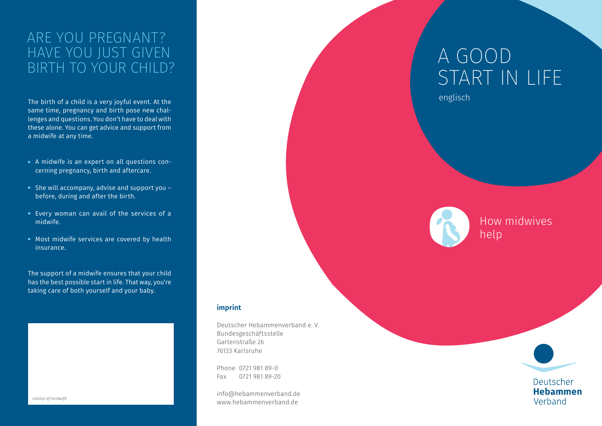### Are you pregnant? Have you just given birth to your child?

The birth of a child is a very joyful event. At the same time, pregnancy and birth pose new challenges and questions. You don't have to deal with these alone. You can get advice and support from a midwife at any time.

- A midwife is an expert on all questions concerning pregnancy, birth and aftercare.
- She will accompany, advise and support you before, during and after the birth.
- Every woman can avail of the services of a midwife.
- Most midwife services are covered by health insurance.

The support of a midwife ensures that your child has the best possible start in life. That way, you're taking care of both yourself and your baby.



Deutscher Hebammenverband e. V. Bundesgeschäftsstelle Gartenstraße 26 76133 Karlsruhe

Phone 0721 981 89-0 Fax 0721 981 89-20

info@hebammenverband.de www.hebammenverband.de

# A Good Start in Life

englisch



How midwives help



#### Deutscher **Hebammen** Verband